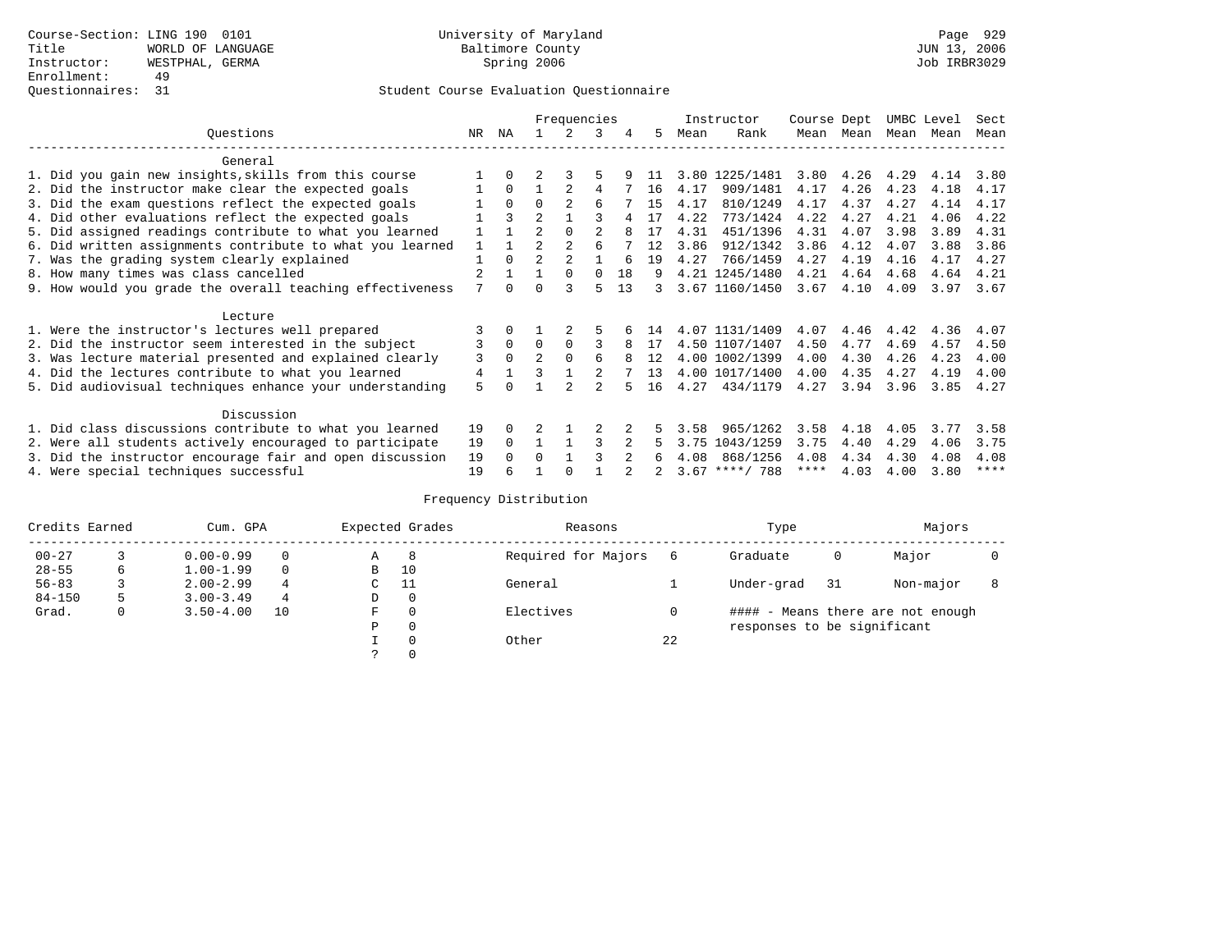### Questionnaires: 31 Student Course Evaluation Questionnaire

|                                                           |              |              |                | Frequencies   |          |    |    |      | Instructor       | Course Dept |           | UMBC Level |      | Sect        |
|-----------------------------------------------------------|--------------|--------------|----------------|---------------|----------|----|----|------|------------------|-------------|-----------|------------|------|-------------|
| Ouestions                                                 | NR.          | ΝA           |                |               | 3        | 4  | 5. | Mean | Rank             |             | Mean Mean | Mean       | Mean | Mean        |
| General                                                   |              |              |                |               |          |    |    |      |                  |             |           |            |      |             |
| 1. Did you gain new insights, skills from this course     |              | $\Omega$     |                |               |          |    | 11 |      | 3.80 1225/1481   | 3.80        | 4.26      | 4.29       | 4.14 | 3.80        |
| 2. Did the instructor make clear the expected goals       |              | $\Omega$     |                |               | 4        |    | 16 | 4.17 | 909/1481         | 4.17        | 4.26      | 4.23       | 4.18 | 4.17        |
| 3. Did the exam questions reflect the expected goals      |              | $\Omega$     | $\Omega$       |               | 6        |    | 15 | 4.17 | 810/1249         | 4.17        | 4.37      | 4.27       | 4.14 | 4.17        |
| 4. Did other evaluations reflect the expected goals       |              | ζ            | $\overline{2}$ |               |          |    | 17 | 4.22 | 773/1424         | 4.22        | 4.27      | 4.21       | 4.06 | 4.22        |
| 5. Did assigned readings contribute to what you learned   |              |              | $\mathfrak{D}$ | $\Omega$      |          | 8  | 17 | 4.31 | 451/1396         | 4.31        | 4.07      | 3.98       | 3.89 | 4.31        |
| 6. Did written assignments contribute to what you learned | $\mathbf{1}$ |              | $\mathcal{D}$  |               | б        |    | 12 | 3.86 | 912/1342         | 3.86        | 4.12      | 4.07       | 3.88 | 3.86        |
| 7. Was the grading system clearly explained               |              | $\Omega$     | $\overline{2}$ | $\mathcal{D}$ |          |    | 19 | 4.27 | 766/1459         | 4.27        | 4.19      | 4.16       | 4.17 | 4.27        |
| 8. How many times was class cancelled                     |              |              |                | $\Omega$      | $\Omega$ | 18 | 9  |      | 4.21 1245/1480   | 4.21        | 4.64      | 4.68       | 4.64 | 4.21        |
| 9. How would you grade the overall teaching effectiveness | 7            | <sup>n</sup> | ∩              | २             |          | 13 | 3  |      | 3.67 1160/1450   | 3.67        | 4.10      | 4.09       | 3.97 | 3.67        |
| Lecture                                                   |              |              |                |               |          |    |    |      |                  |             |           |            |      |             |
| 1. Were the instructor's lectures well prepared           |              |              |                |               |          |    | 14 |      | 4.07 1131/1409   | 4.07        | 4.46      | 4.42       | 4.36 | 4.07        |
| 2. Did the instructor seem interested in the subject      | 3            | $\Omega$     | $\Omega$       | $\Omega$      | ς        | 8  | 17 |      | 4.50 1107/1407   | 4.50        | 4.77      | 4.69       | 4.57 | 4.50        |
| 3. Was lecture material presented and explained clearly   | 3            | $\Omega$     | $\mathfrak{D}$ | $\Omega$      | б        |    | 12 |      | 4.00 1002/1399   | 4.00        | 4.30      | 4.26       | 4.23 | 4.00        |
| 4. Did the lectures contribute to what you learned        | 4            |              | ζ              |               |          |    | 13 |      | 4.00 1017/1400   | 4.00        | 4.35      | 4.27       | 4.19 | 4.00        |
| 5. Did audiovisual techniques enhance your understanding  | 5            |              |                |               |          |    | 16 | 4.27 | 434/1179         | 4.27        | 3.94      | 3.96       | 3.85 | 4.27        |
| Discussion                                                |              |              |                |               |          |    |    |      |                  |             |           |            |      |             |
| 1. Did class discussions contribute to what you learned   | 19           | $\Omega$     |                |               |          |    |    | 3.58 | 965/1262         | 3.58        | 4.18      | 4.05       | 3.77 | 3.58        |
| 2. Were all students actively encouraged to participate   | 19           | $\Omega$     |                |               |          |    |    | 3.75 | 1043/1259        | 3.75        | 4.40      | 4.29       | 4.06 | 3.75        |
| 3. Did the instructor encourage fair and open discussion  |              |              | 0              |               |          |    | 6  | 4.08 | 868/1256         | 4.08        | 4.34      | 4.30       | 4.08 | 4.08        |
| 4. Were special techniques successful                     | 19           |              |                |               |          |    |    |      | $3.67$ ****/ 788 | ****        | 4.03      | 4.00       | 3.80 | $***$ * * * |

| Credits Earned |   | Cum. GPA      |          |             | Expected Grades | Reasons             |    | Type                        |     | Majors                            |  |
|----------------|---|---------------|----------|-------------|-----------------|---------------------|----|-----------------------------|-----|-----------------------------------|--|
| $00 - 27$      |   | $0.00 - 0.99$ |          | Α           | -8              | Required for Majors | 6  | Graduate                    | 0   | Major                             |  |
| $28 - 55$      | 6 | $1.00 - 1.99$ | $\Omega$ | B           | 10              |                     |    |                             |     |                                   |  |
| $56 - 83$      |   | $2.00 - 2.99$ | 4        | $\sim$<br>◡ | -11             | General             |    | Under-grad                  | -31 | Non-major                         |  |
| $84 - 150$     | 5 | $3.00 - 3.49$ | 4        | D           | 0               |                     |    |                             |     |                                   |  |
| Grad.          | 0 | $3.50 - 4.00$ | 10       | F           | 0               | Electives           | 0  |                             |     | #### - Means there are not enough |  |
|                |   |               |          | Ρ           | 0               |                     |    | responses to be significant |     |                                   |  |
|                |   |               |          |             | $\Omega$        | Other               | 22 |                             |     |                                   |  |
|                |   |               |          |             |                 |                     |    |                             |     |                                   |  |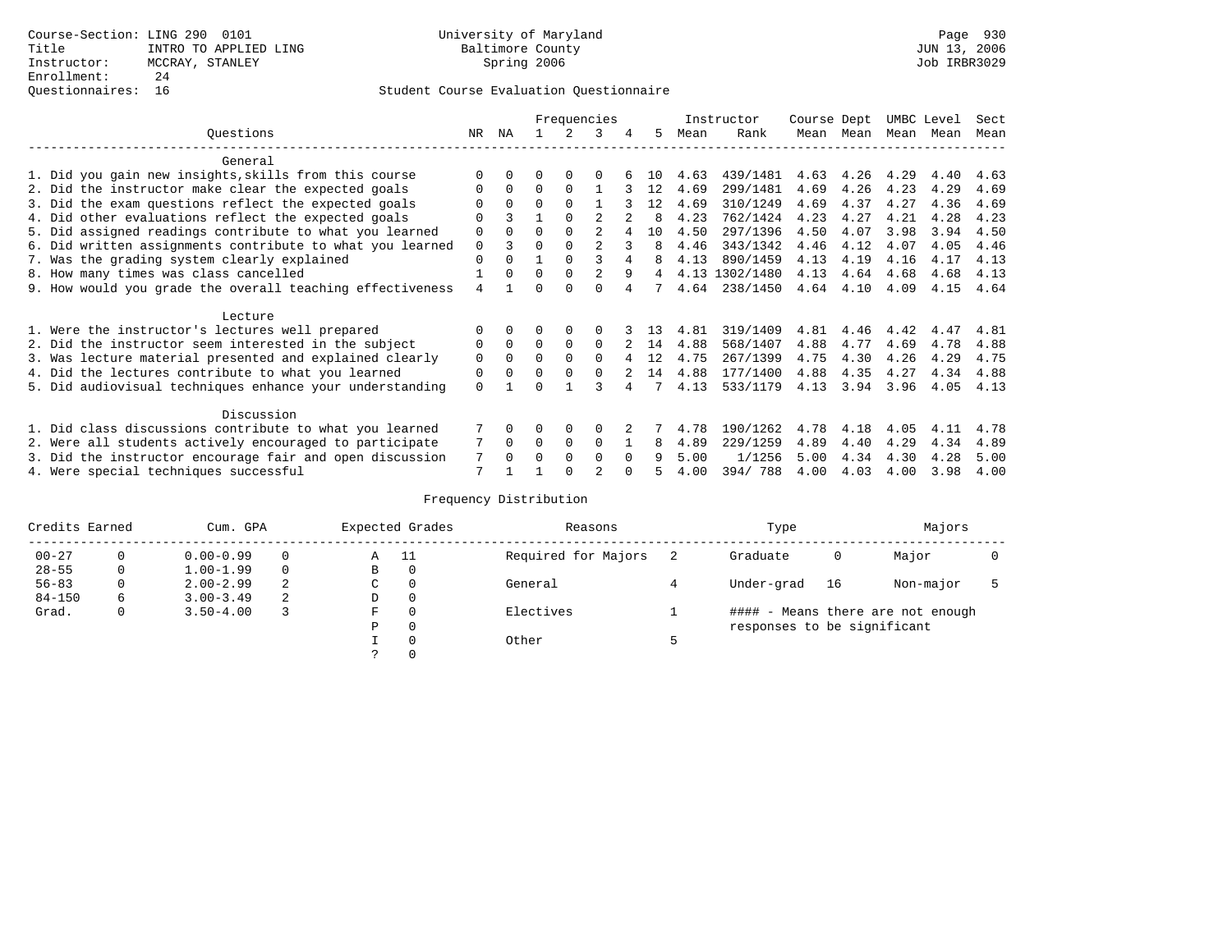### Questionnaires: 16 Student Course Evaluation Questionnaire

|                                                           |             |          |          |             | Frequencies    |          |              |      | Instructor     | Course Dept |           | UMBC Level |      | Sect |
|-----------------------------------------------------------|-------------|----------|----------|-------------|----------------|----------|--------------|------|----------------|-------------|-----------|------------|------|------|
| Ouestions                                                 | NR.         | ΝA       |          |             | 3              | 4        | 5.           | Mean | Rank           |             | Mean Mean | Mean       | Mean | Mean |
| General                                                   |             |          |          |             |                |          |              |      |                |             |           |            |      |      |
| 1. Did you gain new insights, skills from this course     |             | $\Omega$ | 0        | $\Omega$    | $\Omega$       |          | 10           | 4.63 | 439/1481       | 4.63        | 4.26      | 4.29       | 4.40 | 4.63 |
| 2. Did the instructor make clear the expected goals       | O           | $\Omega$ | $\Omega$ | $\Omega$    |                |          | 12           | 4.69 | 299/1481       | 4.69        | 4.26      | 4.23       | 4.29 | 4.69 |
| 3. Did the exam questions reflect the expected goals      |             | $\Omega$ | $\Omega$ | $\Omega$    |                |          | 12           | 4.69 | 310/1249       | 4.69        | 4.37      | 4.27       | 4.36 | 4.69 |
| 4. Did other evaluations reflect the expected goals       | O           |          |          | $\Omega$    |                |          | <sup>8</sup> | 4.23 | 762/1424       | 4.23        | 4.27      | 4.21       | 4.28 | 4.23 |
| 5. Did assigned readings contribute to what you learned   | $\mathbf 0$ | $\Omega$ | $\Omega$ | $\Omega$    | $\mathfrak{D}$ |          | 10           | 4.50 | 297/1396       | 4.50        | 4.07      | 3.98       | 3.94 | 4.50 |
| 6. Did written assignments contribute to what you learned | $\Omega$    | ζ        | $\Omega$ | $\Omega$    | $\mathfrak{D}$ |          | 8            | 4.46 | 343/1342       | 4.46        | 4.12      | 4.07       | 4.05 | 4.46 |
| 7. Was the grading system clearly explained               | $\Omega$    | $\Omega$ |          | $\Omega$    |                | 4        |              | 4.13 | 890/1459       | 4.13        | 4.19      | 4.16       | 4.17 | 4.13 |
| 8. How many times was class cancelled                     |             | $\Omega$ | $\Omega$ | $\Omega$    |                | 9        | 4            |      | 4.13 1302/1480 | 4.13        | 4.64      | 4.68       | 4.68 | 4.13 |
| 9. How would you grade the overall teaching effectiveness | 4           |          | ∩        | ∩           | U              |          |              | 4.64 | 238/1450       | 4.64        | 4.10      | 4.09       | 4.15 | 4.64 |
| Lecture                                                   |             |          |          |             |                |          |              |      |                |             |           |            |      |      |
| 1. Were the instructor's lectures well prepared           | O           |          |          |             |                |          | 13           | 4.81 | 319/1409       | 4.81        | 4.46      | 4.42       | 4.47 | 4.81 |
| 2. Did the instructor seem interested in the subject      | 0           | $\Omega$ | $\Omega$ | $\Omega$    | $\Omega$       |          | 14           | 4.88 | 568/1407       | 4.88        | 4.77      | 4.69       | 4.78 | 4.88 |
| 3. Was lecture material presented and explained clearly   | 0           | $\Omega$ | 0        | $\Omega$    | $\Omega$       |          | 12           | 4.75 | 267/1399       | 4.75        | 4.30      | 4.26       | 4.29 | 4.75 |
| 4. Did the lectures contribute to what you learned        | 0           | $\Omega$ | 0        | $\Omega$    | $\Omega$       |          | 14           | 4.88 | 177/1400       | 4.88        | 4.35      | 4.27       | 4.34 | 4.88 |
| 5. Did audiovisual techniques enhance your understanding  | $\Omega$    |          |          |             |                |          |              | 4.13 | 533/1179       | 4.13        | 3.94      | 3.96       | 4.05 | 4.13 |
| Discussion                                                |             |          |          |             |                |          |              |      |                |             |           |            |      |      |
| 1. Did class discussions contribute to what you learned   |             | $\Omega$ | 0        | $\Omega$    | $\Omega$       |          |              | 4.78 | 190/1262       | 4.78        | 4.18      | 4.05       | 4.11 | 4.78 |
| 2. Were all students actively encouraged to participate   |             | $\Omega$ | $\Omega$ | $\mathbf 0$ | $\Omega$       |          | 8            | 4.89 | 229/1259       | 4.89        | 4.40      | 4.29       | 4.34 | 4.89 |
| 3. Did the instructor encourage fair and open discussion  |             |          | O        | $\Omega$    | $\Omega$       | $\Omega$ |              | 5.00 | 1/1256         | 5.00        | 4.34      | 4.30       | 4.28 | 5.00 |
| 4. Were special techniques successful                     | 7           |          |          |             | $\overline{c}$ |          |              | 4.00 | 394/788        | 4.00        | 4.03      | 4.00       | 3.98 | 4.00 |

| Credits Earned |          | Cum. GPA      |   |   | Expected Grades | Reasons             | Type                        | Majors |                                   |  |
|----------------|----------|---------------|---|---|-----------------|---------------------|-----------------------------|--------|-----------------------------------|--|
| $00 - 27$      | 0        | $0.00 - 0.99$ |   | Α | - 11            | Required for Majors | Graduate                    | 0      | Major                             |  |
| $28 - 55$      | 0        | $1.00 - 1.99$ |   | B | 0               |                     |                             |        |                                   |  |
| $56 - 83$      | $\Omega$ | $2.00 - 2.99$ | 2 | C | 0               | General             | Under-grad                  | 16     | Non-major                         |  |
| $84 - 150$     | 6        | $3.00 - 3.49$ | 2 | D | 0               |                     |                             |        |                                   |  |
| Grad.          | 0        | $3.50 - 4.00$ |   | F | 0               | Electives           |                             |        | #### - Means there are not enough |  |
|                |          |               |   | Ρ | 0               |                     | responses to be significant |        |                                   |  |
|                |          |               |   |   | $\Omega$        | Other               |                             |        |                                   |  |
|                |          |               |   |   |                 |                     |                             |        |                                   |  |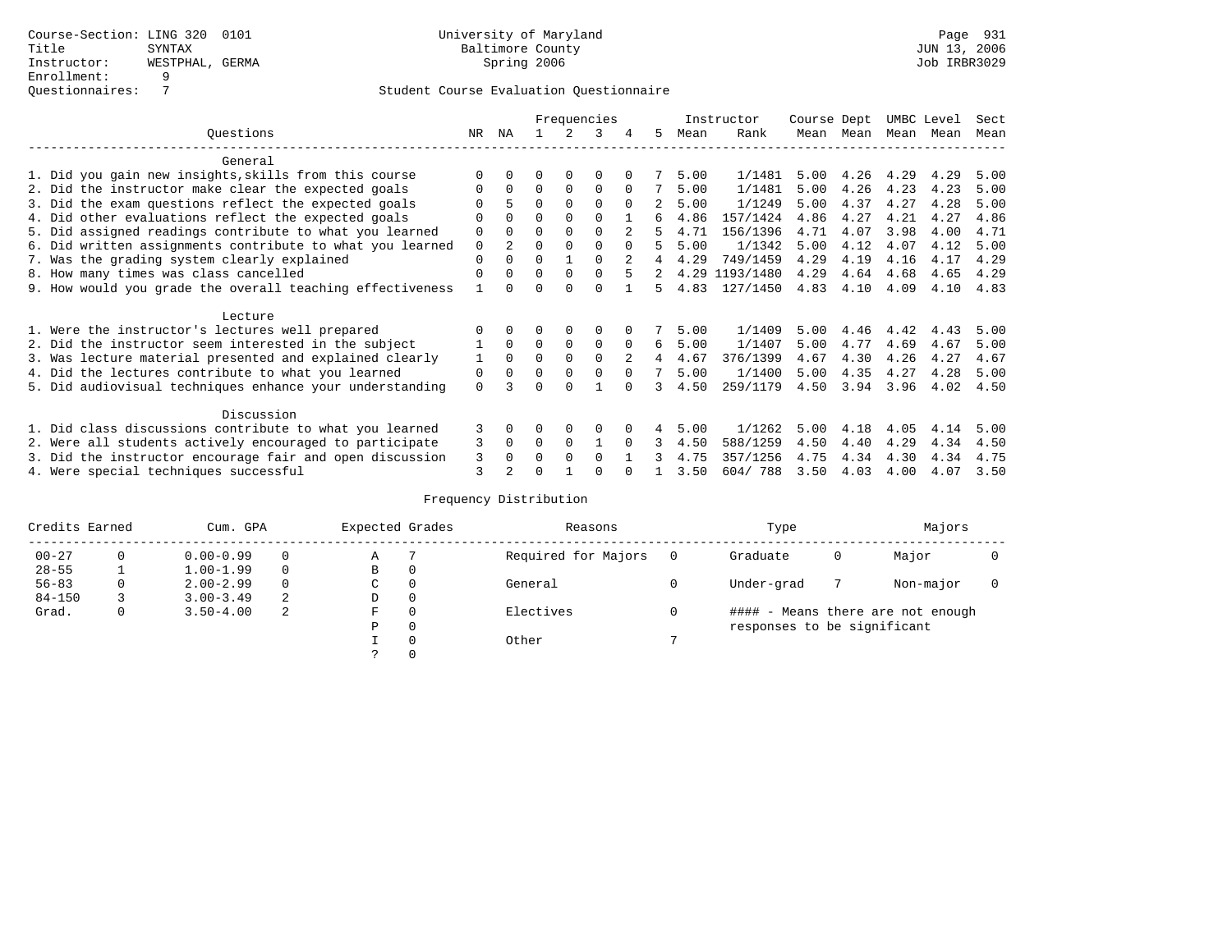# Student Course Evaluation Questionnaire

|                                                           |             |                |          |             | Frequencies |               |             |      | Instructor     | Course Dept |      | UMBC Level |      | Sect |
|-----------------------------------------------------------|-------------|----------------|----------|-------------|-------------|---------------|-------------|------|----------------|-------------|------|------------|------|------|
| Ouestions                                                 | NR.         | ΝA             |          |             | 3           |               | 5.          | Mean | Rank           | Mean        | Mean | Mean       | Mean | Mean |
| General                                                   |             |                |          |             |             |               |             |      |                |             |      |            |      |      |
| 1. Did you gain new insights, skills from this course     |             | $\Omega$       | O        | $\Omega$    | $\Omega$    |               |             | 5.00 | 1/1481         | 5.00        | 4.26 | 4.29       | 4.29 | 5.00 |
| 2. Did the instructor make clear the expected goals       | O           | $\Omega$       | $\Omega$ | $\Omega$    | $\Omega$    | $\Omega$      |             | 5.00 | 1/1481         | 5.00        | 4.26 | 4.23       | 4.23 | 5.00 |
| 3. Did the exam questions reflect the expected goals      |             | 5              | $\Omega$ | $\Omega$    | $\Omega$    | $\Omega$      |             | 5.00 | 1/1249         | 5.00        | 4.37 | 4.27       | 4.28 | 5.00 |
| 4. Did other evaluations reflect the expected goals       | O           | $\Omega$       | $\Omega$ | $\Omega$    | $\Omega$    |               | б.          | 4.86 | 157/1424       | 4.86        | 4.27 | 4.21       | 4.27 | 4.86 |
| 5. Did assigned readings contribute to what you learned   | $\mathbf 0$ |                | $\Omega$ |             | $\Omega$    | $\mathcal{L}$ |             | 4.71 | 156/1396       | 4.71        | 4.07 | 3.98       | 4.00 | 4.71 |
| 6. Did written assignments contribute to what you learned | $\mathbf 0$ | $\mathfrak{D}$ | $\Omega$ |             | $\Omega$    | $\Omega$      | 5           | 5.00 | 1/1342         | 5.00        | 4.12 | 4.07       | 4.12 | 5.00 |
| 7. Was the grading system clearly explained               | $\Omega$    | $\Omega$       | $\Omega$ |             | $\Omega$    |               |             | 4.29 | 749/1459       | 4.29        | 4.19 | 4.16       | 4.17 | 4.29 |
| 8. How many times was class cancelled                     | $\Omega$    | $\Omega$       | $\Omega$ | $\Omega$    | $\Omega$    |               | $2^{\circ}$ |      | 4.29 1193/1480 | 4.29        | 4.64 | 4.68       | 4.65 | 4.29 |
| 9. How would you grade the overall teaching effectiveness |             | <sup>n</sup>   | U        | ∩           | U           |               | 5.          | 4.83 | 127/1450       | 4.83        | 4.10 | 4.09       | 4.10 | 4.83 |
| Lecture                                                   |             |                |          |             |             |               |             |      |                |             |      |            |      |      |
| 1. Were the instructor's lectures well prepared           |             |                |          |             | $\Omega$    |               |             | 5.00 | 1/1409         | 5.00        | 4.46 | 4.42       | 4.43 | 5.00 |
| 2. Did the instructor seem interested in the subject      |             | $\Omega$       | $\Omega$ | $\mathbf 0$ | $\mathbf 0$ | $\Omega$      | 6           | 5.00 | 1/1407         | 5.00        | 4.77 | 4.69       | 4.67 | 5.00 |
| 3. Was lecture material presented and explained clearly   | 1           | $\Omega$       | $\Omega$ | $\Omega$    | $\Omega$    |               | 4           | 4.67 | 376/1399       | 4.67        | 4.30 | 4.26       | 4.27 | 4.67 |
| 4. Did the lectures contribute to what you learned        | 0           | $\Omega$       | $\Omega$ | $\Omega$    | $\Omega$    | $\Omega$      |             | 5.00 | 1/1400         | 5.00        | 4.35 | 4.27       | 4.28 | 5.00 |
| 5. Did audiovisual techniques enhance your understanding  | $\Omega$    |                |          |             |             |               |             | 4.50 | 259/1179       | 4.50        | 3.94 | 3.96       | 4.02 | 4.50 |
| Discussion                                                |             |                |          |             |             |               |             |      |                |             |      |            |      |      |
| 1. Did class discussions contribute to what you learned   | 3           | $\Omega$       | U        | $\Omega$    | $\Omega$    |               |             | 5.00 | 1/1262         | 5.00        | 4.18 | 4.05       | 4.14 | 5.00 |
| 2. Were all students actively encouraged to participate   | 3           | $\Omega$       | $\Omega$ | $\Omega$    |             | $\Omega$      | 3           | 4.50 | 588/1259       | 4.50        | 4.40 | 4.29       | 4.34 | 4.50 |
| 3. Did the instructor encourage fair and open discussion  |             |                | 0        | $\Omega$    | $\Omega$    |               |             | 4.75 | 357/1256       | 4.75        | 4.34 | 4.30       | 4.34 | 4.75 |
| 4. Were special techniques successful                     | 3<br>3      | $\Omega$       |          |             |             |               |             | 3.50 | 604/788        | 3.50        | 4.03 | 4.00       | 4.07 | 3.50 |

| Credits Earned |          | Cum. GPA      |   | Expected Grades |          | Reasons             |          | Type                        |   | Majors                            |  |
|----------------|----------|---------------|---|-----------------|----------|---------------------|----------|-----------------------------|---|-----------------------------------|--|
| $00 - 27$      | $\Omega$ | $0.00 - 0.99$ |   | Α               |          | Required for Majors | $\Omega$ | Graduate                    | 0 | Major                             |  |
| $28 - 55$      | ᅩ        | $1.00 - 1.99$ |   | В               | 0        |                     |          |                             |   |                                   |  |
| $56 - 83$      | 0        | $2.00 - 2.99$ |   | $\sim$<br>◡     | 0        | General             |          | Under-grad                  |   | Non-major                         |  |
| $84 - 150$     |          | $3.00 - 3.49$ | 2 | D               | 0        |                     |          |                             |   |                                   |  |
| Grad.          | 0        | $3.50 - 4.00$ | 2 | F               | 0        | Electives           | 0        |                             |   | #### - Means there are not enough |  |
|                |          |               |   | Ρ               | 0        |                     |          | responses to be significant |   |                                   |  |
|                |          |               |   |                 | $\Omega$ | Other               |          |                             |   |                                   |  |
|                |          |               |   |                 |          |                     |          |                             |   |                                   |  |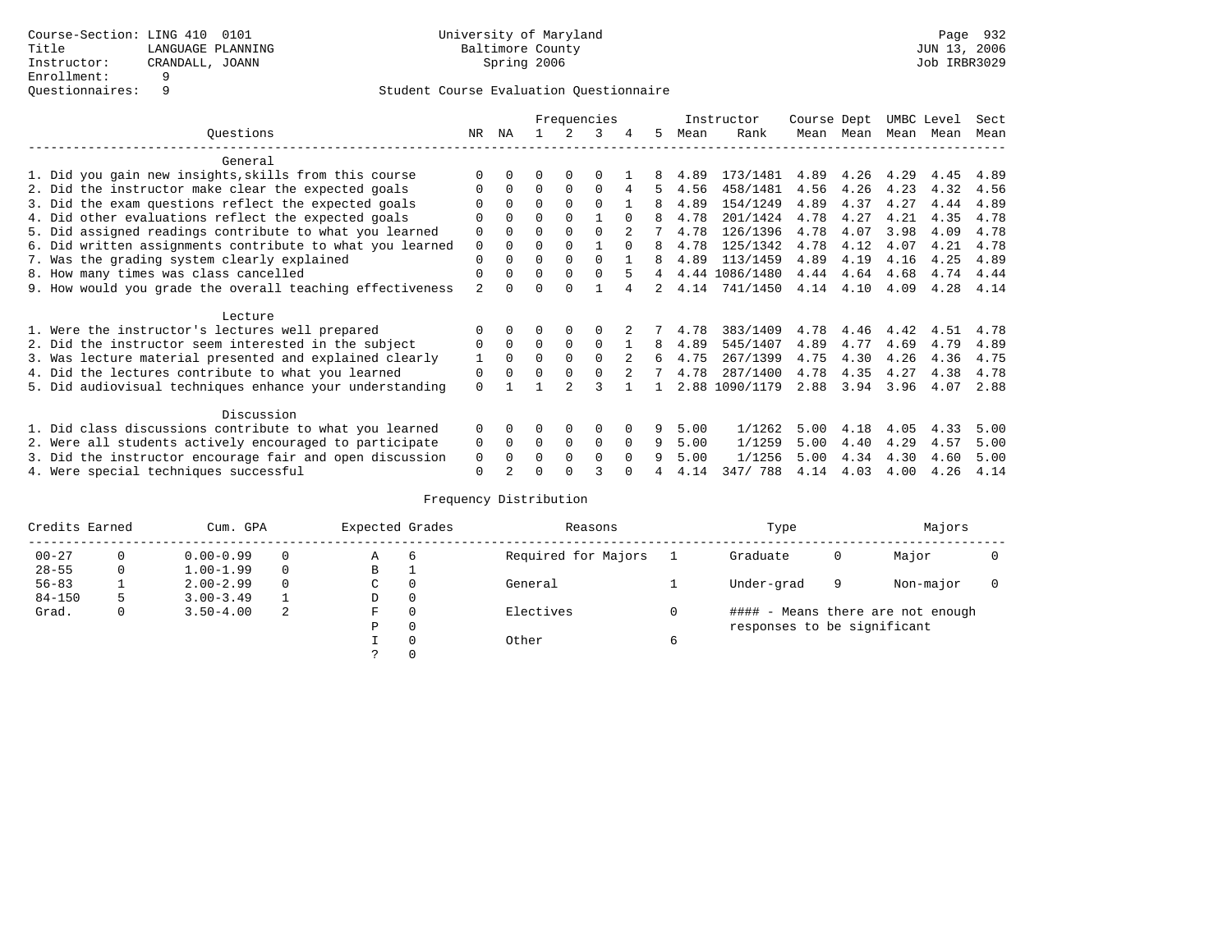### Student Course Evaluation Questionnaire

|                                                           |                |          |          |               | Frequencies |          |    |      | Instructor     | Course Dept |      | UMBC Level |      | Sect |
|-----------------------------------------------------------|----------------|----------|----------|---------------|-------------|----------|----|------|----------------|-------------|------|------------|------|------|
| Ouestions                                                 | NR.            | ΝA       |          |               | ર           | 4        | 5. | Mean | Rank           | Mean        | Mean | Mean       | Mean | Mean |
| General                                                   |                |          |          |               |             |          |    |      |                |             |      |            |      |      |
| 1. Did you gain new insights, skills from this course     |                |          | 0        |               | $\Omega$    |          |    | 4.89 | 173/1481       | 4.89        | 4.26 | 4.29       | 4.45 | 4.89 |
| 2. Did the instructor make clear the expected goals       |                | 0        | $\Omega$ | $\Omega$      | $\Omega$    |          | 5  | 4.56 | 458/1481       | 4.56        | 4.26 | 4.23       | 4.32 | 4.56 |
| 3. Did the exam questions reflect the expected goals      |                |          | $\Omega$ | $\Omega$      | $\Omega$    |          |    | 4.89 | 154/1249       | 4.89        | 4.37 | 4.27       | 4.44 | 4.89 |
| 4. Did other evaluations reflect the expected goals       |                |          | $\Omega$ |               |             |          |    | 4.78 | 201/1424       | 4.78        | 4.27 | 4.21       | 4.35 | 4.78 |
| 5. Did assigned readings contribute to what you learned   | 0              |          |          |               |             |          |    | 4.78 | 126/1396       | 4.78        | 4.07 | 3.98       | 4.09 | 4.78 |
| 6. Did written assignments contribute to what you learned | 0              |          | O        |               |             | $\Omega$ | 8  | 4.78 | 125/1342       | 4.78        | 4.12 | 4.07       | 4.21 | 4.78 |
| 7. Was the grading system clearly explained               | $\Omega$       |          | $\Omega$ | $\Omega$      | $\Omega$    |          |    | 4.89 | 113/1459       | 4.89        | 4.19 | 4.16       | 4.25 | 4.89 |
| 8. How many times was class cancelled                     | $\Omega$       | 0        | $\Omega$ | $\Omega$      | $\Omega$    | 5        | 4  |      | 4.44 1086/1480 | 4.44        | 4.64 | 4.68       | 4.74 | 4.44 |
| 9. How would you grade the overall teaching effectiveness | $\mathfrak{D}$ |          | U        | $\cap$        |             |          | 2  | 4.14 | 741/1450       | 4.14        | 4.10 | 4.09       | 4.28 | 4.14 |
| Lecture                                                   |                |          |          |               |             |          |    |      |                |             |      |            |      |      |
| 1. Were the instructor's lectures well prepared           |                |          |          |               | $\Omega$    |          |    | 4.78 | 383/1409       | 4.78        | 4.46 | 4.42       | 4.51 | 4.78 |
| 2. Did the instructor seem interested in the subject      | 0              | $\Omega$ | $\Omega$ | $\Omega$      | $\Omega$    |          | 8  | 4.89 | 545/1407       | 4.89        | 4.77 | 4.69       | 4.79 | 4.89 |
| 3. Was lecture material presented and explained clearly   |                | $\Omega$ | $\Omega$ |               | $\Omega$    |          | 6  | 4.75 | 267/1399       | 4.75        | 4.30 | 4.26       | 4.36 | 4.75 |
| 4. Did the lectures contribute to what you learned        | 0              | $\Omega$ | $\Omega$ |               | $\Omega$    |          |    | 4.78 | 287/1400       | 4.78        | 4.35 | 4.27       | 4.38 | 4.78 |
| 5. Did audiovisual techniques enhance your understanding  | $\Omega$       |          |          | $\mathcal{D}$ |             |          |    | 2.88 | 1090/1179      | 2.88        | 3.94 | 3.96       | 4.07 | 2.88 |
| Discussion                                                |                |          |          |               |             |          |    |      |                |             |      |            |      |      |
| 1. Did class discussions contribute to what you learned   | $\Omega$       |          | 0        | $\Omega$      | $\Omega$    |          |    | 5.00 | 1/1262         | 5.00        | 4.18 | 4.05       | 4.33 | 5.00 |
| 2. Were all students actively encouraged to participate   | 0              | 0        | $\Omega$ | 0             | $\Omega$    | $\Omega$ | 9  | 5.00 | 1/1259         | 5.00        | 4.40 | 4.29       | 4.57 | 5.00 |
| 3. Did the instructor encourage fair and open discussion  | 0              |          | $\Omega$ | $\Omega$      | $\Omega$    | $\Omega$ |    | 5.00 | 1/1256         | 5.00        | 4.34 | 4.30       | 4.60 | 5.00 |
| 4. Were special techniques successful                     | $\Omega$       |          |          |               |             |          |    | 4.14 | 347/ 788       | 4.14        | 4.03 | 4.00       | 4.26 | 4.14 |

| Credits Earned |   | Cum. GPA      |          |    | Expected Grades | Reasons             | Type                        |   |                                   |  |
|----------------|---|---------------|----------|----|-----------------|---------------------|-----------------------------|---|-----------------------------------|--|
| $00 - 27$      |   | $0.00 - 0.99$ |          | Α  | 6               | Required for Majors | Graduate                    | 0 | Major                             |  |
| $28 - 55$      | 0 | $1.00 - 1.99$ | $\Omega$ | В  |                 |                     |                             |   |                                   |  |
| $56 - 83$      |   | $2.00 - 2.99$ |          | C. | $\Omega$        | General             | Under-grad                  | 9 | Non-major                         |  |
| $84 - 150$     |   | $3.00 - 3.49$ |          | D  | 0               |                     |                             |   |                                   |  |
| Grad.          | 0 | $3.50 - 4.00$ | -2       | F  | $\Omega$        | Electives           |                             |   | #### - Means there are not enough |  |
|                |   |               |          | P  | 0               |                     | responses to be significant |   |                                   |  |
|                |   |               |          |    | $\Omega$        | Other               |                             |   |                                   |  |
|                |   |               |          |    |                 |                     |                             |   |                                   |  |